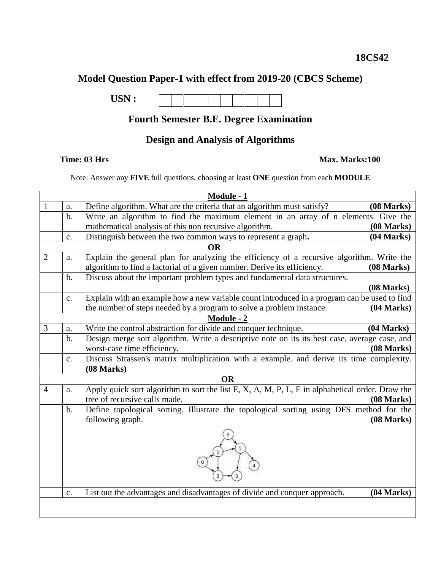# **Model Question Paper-1 with effect from 2019-20 (CBCS Scheme)**

**USN :**

### **Fourth Semester B.E. Degree Examination**

## **Design and Analysis of Algorithms**

#### **Time: 03 Hrs Max. Marks:100**

Note: Answer any **FIVE** full questions, choosing at least **ONE** question from each **MODULE**

|   |               | Module - 1                                                                                                                                                                         |  |
|---|---------------|------------------------------------------------------------------------------------------------------------------------------------------------------------------------------------|--|
| 1 | a.            | Define algorithm. What are the criteria that an algorithm must satisfy?<br>(08 Marks)                                                                                              |  |
|   | $\mathbf b$ . | Write an algorithm to find the maximum element in an array of n elements. Give the                                                                                                 |  |
|   |               | mathematical analysis of this non recursive algorithm.<br>(08 Marks)                                                                                                               |  |
|   | c.            | Distinguish between the two common ways to represent a graph.<br>(04 Marks)                                                                                                        |  |
|   |               | <b>OR</b>                                                                                                                                                                          |  |
| 2 | a.            | Explain the general plan for analyzing the efficiency of a recursive algorithm. Write the<br>algorithm to find a factorial of a given number. Derive its efficiency.<br>(08 Marks) |  |
|   | $\mathbf b$ . | Discuss about the important problem types and fundamental data structures.<br>(08 Marks)                                                                                           |  |
|   | c.            | Explain with an example how a new variable count introduced in a program can be used to find<br>the number of steps needed by a program to solve a problem instance.<br>(04 Marks) |  |
|   |               | <b>Module - 2</b>                                                                                                                                                                  |  |
| 3 | a.            | Write the control abstraction for divide and conquer technique.<br>(04 Marks)                                                                                                      |  |
|   | $\mathbf b$ . | Design merge sort algorithm. Write a descriptive note on its its best case, average case, and<br>worst-case time efficiency.<br>(08 Marks)                                         |  |
|   | c.            | Discuss Strassen's matrix multiplication with a example. and derive its time complexity.<br>(08 Marks)                                                                             |  |
|   |               |                                                                                                                                                                                    |  |
|   |               | <b>OR</b>                                                                                                                                                                          |  |
|   | a.            | Apply quick sort algorithm to sort the list E, X, A, M, P, L, E in alphabetical order. Draw the<br>tree of recursive calls made.<br>(08 Marks)                                     |  |
|   | $\mathbf b$ . | Define topological sorting. Illustrate the topological sorting using DFS method for the<br>following graph.<br>(08 Marks)                                                          |  |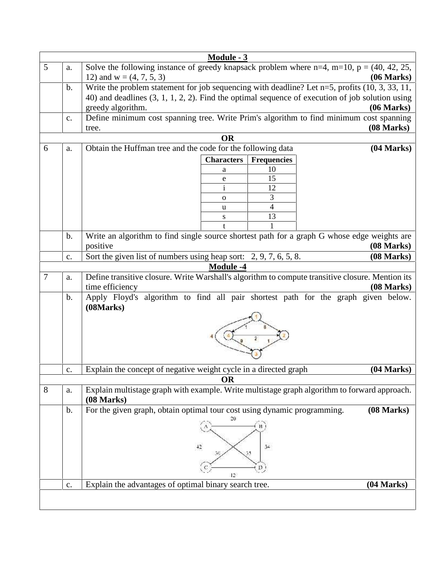|            |                                                             | Module - 3        |                                                                                                         |                |   |  |  |  |  |
|------------|-------------------------------------------------------------|-------------------|---------------------------------------------------------------------------------------------------------|----------------|---|--|--|--|--|
|            |                                                             |                   | Solve the following instance of greedy knapsack problem where $n=4$ , $m=10$ , $p = (40, 42, 25,$       | a.             | 5 |  |  |  |  |
| (06 Marks) |                                                             |                   | 12) and $w = (4, 7, 5, 3)$                                                                              |                |   |  |  |  |  |
|            |                                                             |                   | Write the problem statement for job sequencing with deadline? Let $n=5$ , profits (10, 3, 33, 11,       | $\mathbf b$ .  |   |  |  |  |  |
|            |                                                             |                   | 40) and deadlines $(3, 1, 1, 2, 2)$ . Find the optimal sequence of execution of job solution using      |                |   |  |  |  |  |
| (06 Marks) |                                                             |                   | greedy algorithm.                                                                                       |                |   |  |  |  |  |
| (08 Marks) |                                                             |                   | Define minimum cost spanning tree. Write Prim's algorithm to find minimum cost spanning<br>tree.        | $\mathbf{c}$ . |   |  |  |  |  |
|            |                                                             | <b>OR</b>         |                                                                                                         |                |   |  |  |  |  |
| (04 Marks) | Obtain the Huffman tree and the code for the following data |                   |                                                                                                         |                |   |  |  |  |  |
|            | <b>Frequencies</b>                                          | <b>Characters</b> |                                                                                                         |                |   |  |  |  |  |
|            | 10                                                          | a                 |                                                                                                         |                |   |  |  |  |  |
|            | 15                                                          | e                 |                                                                                                         |                |   |  |  |  |  |
|            | 12                                                          | $\mathbf{i}$      |                                                                                                         |                |   |  |  |  |  |
|            | 3                                                           | 0                 |                                                                                                         |                |   |  |  |  |  |
|            | $\overline{\mathcal{L}}$                                    | u                 |                                                                                                         |                |   |  |  |  |  |
|            | 13                                                          | ${\bf S}$         |                                                                                                         |                |   |  |  |  |  |
|            |                                                             | t                 |                                                                                                         |                |   |  |  |  |  |
| (08 Marks) |                                                             |                   | Write an algorithm to find single source shortest path for a graph G whose edge weights are<br>positive | $\mathbf b$ .  |   |  |  |  |  |
| (08 Marks) |                                                             |                   | Sort the given list of numbers using heap sort: 2, 9, 7, 6, 5, 8.                                       |                |   |  |  |  |  |
|            |                                                             |                   |                                                                                                         | c.             |   |  |  |  |  |
|            |                                                             | <b>Module -4</b>  |                                                                                                         |                |   |  |  |  |  |
|            |                                                             |                   | Define transitive closure. Write Warshall's algorithm to compute transitive closure. Mention its        | a.             |   |  |  |  |  |
| (08 Marks) |                                                             |                   | time efficiency                                                                                         |                |   |  |  |  |  |
|            |                                                             |                   | Apply Floyd's algorithm to find all pair shortest path for the graph given below.                       | $\mathbf b$ .  |   |  |  |  |  |
|            |                                                             |                   | (08 Marks)                                                                                              |                |   |  |  |  |  |
|            |                                                             |                   |                                                                                                         |                |   |  |  |  |  |
|            |                                                             |                   |                                                                                                         |                |   |  |  |  |  |
|            |                                                             |                   |                                                                                                         |                |   |  |  |  |  |
|            |                                                             |                   |                                                                                                         |                |   |  |  |  |  |
|            |                                                             |                   |                                                                                                         |                | 7 |  |  |  |  |
| (04 Marks) |                                                             |                   |                                                                                                         | c.             |   |  |  |  |  |
|            |                                                             | <b>OR</b>         | Explain the concept of negative weight cycle in a directed graph                                        |                |   |  |  |  |  |
|            |                                                             |                   |                                                                                                         |                | 8 |  |  |  |  |
|            |                                                             |                   | Explain multistage graph with example. Write multistage graph algorithm to forward approach.            | a.             |   |  |  |  |  |
|            |                                                             |                   | (08 Marks)                                                                                              | $\mathbf{b}$ . |   |  |  |  |  |
| (08 Marks) |                                                             | 20                | For the given graph, obtain optimal tour cost using dynamic programming.                                |                |   |  |  |  |  |
|            |                                                             |                   |                                                                                                         |                |   |  |  |  |  |
|            |                                                             |                   |                                                                                                         |                |   |  |  |  |  |
|            | 34                                                          | 42                |                                                                                                         |                |   |  |  |  |  |
|            |                                                             |                   |                                                                                                         |                |   |  |  |  |  |
|            | D                                                           |                   |                                                                                                         |                |   |  |  |  |  |
| (04 Marks) |                                                             | 12 <sup>°</sup>   | Explain the advantages of optimal binary search tree.                                                   | $\mathbf{c}$ . |   |  |  |  |  |